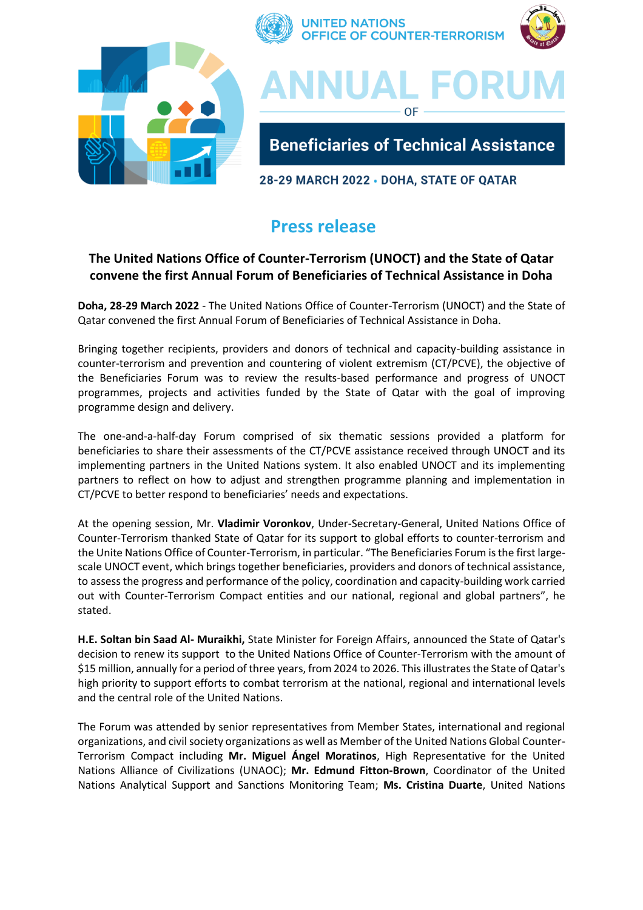

## **Press release**

## **The United Nations Office of Counter-Terrorism (UNOCT) and the State of Qatar convene the first Annual Forum of Beneficiaries of Technical Assistance in Doha**

**Doha, 28-29 March 2022** - The United Nations Office of Counter-Terrorism (UNOCT) and the State of Qatar convened the first Annual Forum of Beneficiaries of Technical Assistance in Doha.

Bringing together recipients, providers and donors of technical and capacity-building assistance in counter-terrorism and prevention and countering of violent extremism (CT/PCVE), the objective of the Beneficiaries Forum was to review the results-based performance and progress of UNOCT programmes, projects and activities funded by the State of Qatar with the goal of improving programme design and delivery.

The one-and-a-half-day Forum comprised of six thematic sessions provided a platform for beneficiaries to share their assessments of the CT/PCVE assistance received through UNOCT and its implementing partners in the United Nations system. It also enabled UNOCT and its implementing partners to reflect on how to adjust and strengthen programme planning and implementation in CT/PCVE to better respond to beneficiaries' needs and expectations.

At the opening session, Mr. **Vladimir Voronkov**, Under-Secretary-General, United Nations Office of Counter-Terrorism thanked State of Qatar for its support to global efforts to counter-terrorism and the Unite Nations Office of Counter-Terrorism, in particular. "The Beneficiaries Forum is the first largescale UNOCT event, which brings together beneficiaries, providers and donors of technical assistance, to assess the progress and performance of the policy, coordination and capacity-building work carried out with Counter-Terrorism Compact entities and our national, regional and global partners", he stated.

**H.E. Soltan bin Saad Al- Muraikhi,** State Minister for Foreign Affairs, announced the State of Qatar's decision to renew its support to the United Nations Office of Counter-Terrorism with the amount of \$15 million, annually for a period of three years, from 2024 to 2026. This illustrates the State of Qatar's high priority to support efforts to combat terrorism at the national, regional and international levels and the central role of the United Nations.

The Forum was attended by senior representatives from Member States, international and regional organizations, and civil society organizations as well as Member of the United Nations Global Counter-Terrorism Compact including **Mr. Miguel Ángel Moratinos**, High Representative for the United Nations Alliance of Civilizations (UNAOC); **Mr. Edmund Fitton-Brown**, Coordinator of the United Nations Analytical Support and Sanctions Monitoring Team; **Ms. Cristina Duarte**, United Nations